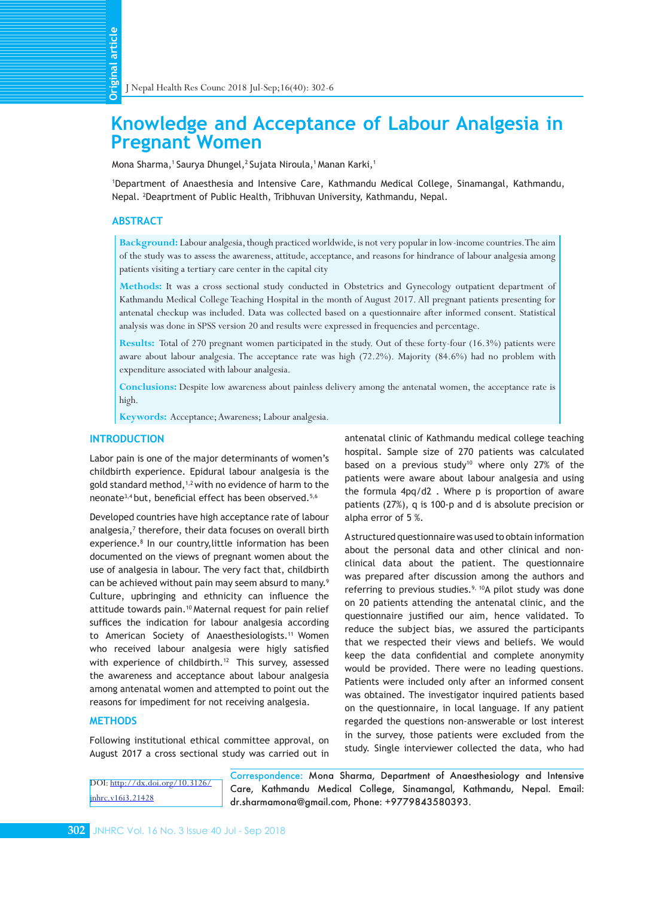# **Knowledge and Acceptance of Labour Analgesia in Pregnant Women**

Mona Sharma,<sup>1</sup> Saurya Dhungel,<sup>2</sup> Sujata Niroula,<sup>1</sup> Manan Karki,<sup>1</sup>

1 Department of Anaesthesia and Intensive Care, Kathmandu Medical College, Sinamangal, Kathmandu, Nepal. <sup>2</sup> Deaprtment of Public Health, Tribhuvan University, Kathmandu, Nepal.

## **ABSTRACT**

**Background:** Labour analgesia, though practiced worldwide, is not very popular in low-income countries. The aim of the study was to assess the awareness, attitude, acceptance, and reasons for hindrance of labour analgesia among patients visiting a tertiary care center in the capital city

**Methods:** It was a cross sectional study conducted in Obstetrics and Gynecology outpatient department of Kathmandu Medical College Teaching Hospital in the month of August 2017. All pregnant patients presenting for antenatal checkup was included. Data was collected based on a questionnaire after informed consent. Statistical analysis was done in SPSS version 20 and results were expressed in frequencies and percentage.

**Results:** Total of 270 pregnant women participated in the study. Out of these forty-four (16.3%) patients were aware about labour analgesia. The acceptance rate was high (72.2%). Majority (84.6%) had no problem with expenditure associated with labour analgesia.

**Conclusions:** Despite low awareness about painless delivery among the antenatal women, the acceptance rate is high.

**Keywords:** Acceptance; Awareness; Labour analgesia.

# **INTRODUCTION**

Labor pain is one of the major determinants of women's childbirth experience. Epidural labour analgesia is the gold standard method,<sup>1,2</sup> with no evidence of harm to the neonate<sup>3,4</sup> but, beneficial effect has been observed.<sup>5,6</sup>

Developed countries have high acceptance rate of labour analgesia,<sup>7</sup> therefore, their data focuses on overall birth experience.8 In our country,little information has been documented on the views of pregnant women about the use of analgesia in labour. The very fact that, childbirth can be achieved without pain may seem absurd to many.<sup>9</sup> Culture, upbringing and ethnicity can influence the attitude towards pain.<sup>10</sup> Maternal request for pain relief suffices the indication for labour analgesia according to American Society of Anaesthesiologists.<sup>11</sup> Women who received labour analgesia were higly satisfied with experience of childbirth.<sup>12</sup> This survey, assessed the awareness and acceptance about labour analgesia among antenatal women and attempted to point out the reasons for impediment for not receiving analgesia. **Example 12 Internal Science of American**<br> **Example 1** INepal<br>
Mona Shar<br>
1 Departme<br>
Nepal. <sup>2</sup>De<br>
ABSTRAC<br>
Backgre<br>
of the sture patients v<br>
Method<br>
Kathman<br>
antenatal<br>
analysis v<br>
Results:<br>
aware ab<br>
expendit<br>
Conclus<br>

### **METHODS**

Following institutional ethical committee approval, on August 2017 a cross sectional study was carried out in

DOI: [http://dx.doi.org/10.3126/](http://dx.doi.org/10.3126/jnhrc.v16i3.21428) jnhrc.v16i3.21428

antenatal clinic of Kathmandu medical college teaching hospital. Sample size of 270 patients was calculated based on a previous study<sup>10</sup> where only 27% of the patients were aware about labour analgesia and using the formula 4pq/d2 . Where p is proportion of aware patients (27%), q is 100-p and d is absolute precision or alpha error of 5 %.

A structured questionnaire was used to obtain information about the personal data and other clinical and nonclinical data about the patient. The questionnaire was prepared after discussion among the authors and referring to previous studies.<sup>9, 10</sup>A pilot study was done on 20 patients attending the antenatal clinic, and the questionnaire justified our aim, hence validated. To reduce the subject bias, we assured the participants that we respected their views and beliefs. We would keep the data confidential and complete anonymity would be provided. There were no leading questions. Patients were included only after an informed consent was obtained. The investigator inquired patients based on the questionnaire, in local language. If any patient regarded the questions non-answerable or lost interest in the survey, those patients were excluded from the study. Single interviewer collected the data, who had

Correspondence: Mona Sharma, Department of Anaesthesiology and Intensive Care, Kathmandu Medical College, Sinamangal, Kathmandu, Nepal. Email: dr.sharmamona@gmail.com, Phone: +9779843580393.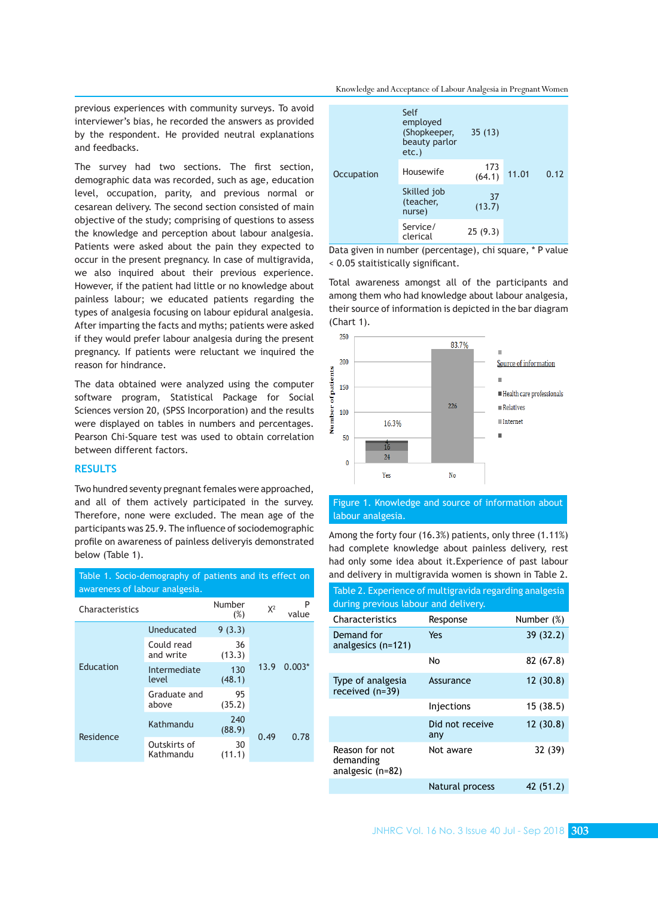previous experiences with community surveys. To avoid interviewer's bias, he recorded the answers as provided by the respondent. He provided neutral explanations and feedbacks.

The survey had two sections. The first section, demographic data was recorded, such as age, education level, occupation, parity, and previous normal or cesarean delivery. The second section consisted of main objective of the study; comprising of questions to assess the knowledge and perception about labour analgesia. Patients were asked about the pain they expected to occur in the present pregnancy. In case of multigravida, we also inquired about their previous experience. However, if the patient had little or no knowledge about painless labour; we educated patients regarding the types of analgesia focusing on labour epidural analgesia. After imparting the facts and myths; patients were asked if they would prefer labour analgesia during the present pregnancy. If patients were reluctant we inquired the reason for hindrance.

The data obtained were analyzed using the computer software program, Statistical Package for Social Sciences version 20, (SPSS Incorporation) and the results were displayed on tables in numbers and percentages. Pearson Chi-Square test was used to obtain correlation between different factors.

# **RESULTS**

Two hundred seventy pregnant females were approached, and all of them actively participated in the survey. Therefore, none were excluded. The mean age of the participants was 25.9. The influence of sociodemographic profile on awareness of painless deliveryis demonstrated below (Table 1).

| awareness of labour analgesia. |                           |               |       |            |
|--------------------------------|---------------------------|---------------|-------|------------|
| Characteristics                |                           | Number<br>(%) | $X^2$ | P<br>value |
| Education                      | Uneducated                | 9(3.3)        |       | $0.003*$   |
|                                | Could read<br>and write   | 36<br>(13.3)  |       |            |
|                                | Intermediate<br>level     | 130<br>(48.1) | 13.9  |            |
|                                | Graduate and<br>above     | 95<br>(35.2)  |       |            |
| Residence                      | Kathmandu                 | 240<br>(88.9) | 0.49  | 0.78       |
|                                | Outskirts of<br>Kathmandu | 30<br>(11.1)  |       |            |

| Table 1. Socio-demography of patients and its effect on |  |
|---------------------------------------------------------|--|
| awareness of labour analgesia.                          |  |
| Numbor                                                  |  |

|                   | Self<br>employed<br>(Shopkeeper,<br>beauty parlor<br>$etc.$ ) | 35(13)        |       |      |
|-------------------|---------------------------------------------------------------|---------------|-------|------|
| <b>Occupation</b> | Housewife                                                     | 173<br>(64.1) | 11.01 | 0.12 |
|                   | Skilled job<br>(teacher,<br>nurse)                            | 37<br>(13.7)  |       |      |
|                   | Service/<br>clerical                                          | 25(9.3)       |       |      |

Data given in number (percentage), chi square, \* P value < 0.05 staitistically significant.

Total awareness amongst all of the participants and among them who had knowledge about labour analgesia, their source of information is depicted in the bar diagram (Chart 1).



# Figure 1. Knowledge and source of information about labour analgesia.

Among the forty four (16.3%) patients, only three (1.11%) had complete knowledge about painless delivery, rest had only some idea about it.Experience of past labour and delivery in multigravida women is shown in Table 2.

| Table 2. Experience of multigravida regarding analgesia<br>during previous labour and delivery. |                        |            |  |  |
|-------------------------------------------------------------------------------------------------|------------------------|------------|--|--|
| Characteristics                                                                                 | Response               | Number (%) |  |  |
| Demand for<br>analgesics $(n=121)$                                                              | Yes                    | 39 (32.2)  |  |  |
|                                                                                                 | No                     | 82 (67.8)  |  |  |
| Type of analgesia<br>received (n=39)                                                            | Assurance              | 12(30.8)   |  |  |
|                                                                                                 | Injections             | 15(38.5)   |  |  |
|                                                                                                 | Did not receive<br>any | 12(30.8)   |  |  |
| Reason for not<br>demanding<br>analgesic (n=82)                                                 | Not aware              | 32 (39)    |  |  |
|                                                                                                 | Natural process        | 42 (51.2)  |  |  |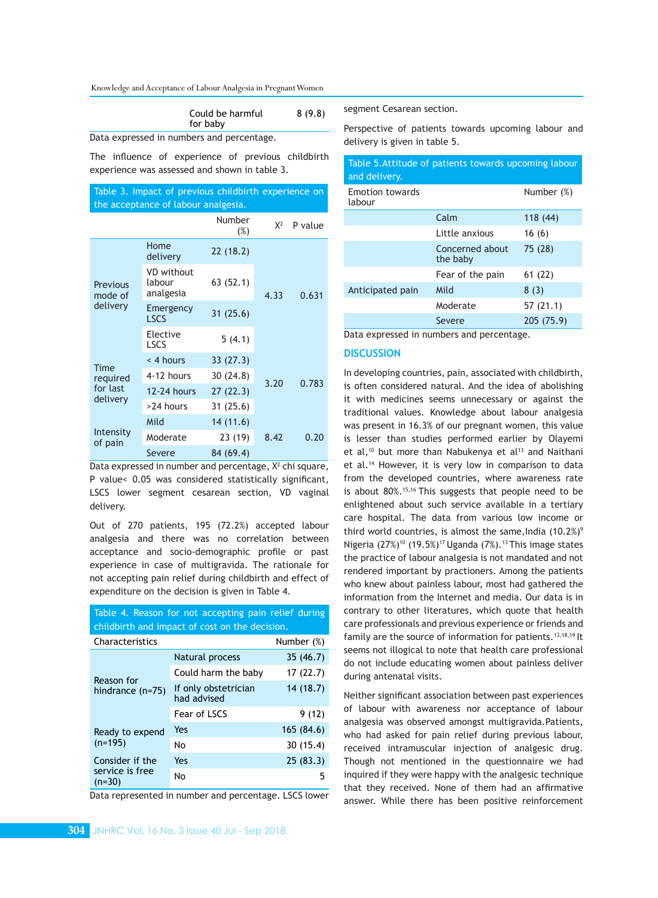Knowledge and Acceptance of Labour Analgesia in Pregnant Women

| Could be harmful | 8(9.8) |
|------------------|--------|
| for baby         |        |

Data expressed in numbers and percentage.

The influence of experience of previous childbirth experience was assessed and shown in table 3.

|                                     |  | Table 3. Impact of previous childbirth experience on |  |
|-------------------------------------|--|------------------------------------------------------|--|
| the acceptance of labour analgesia. |  |                                                      |  |

|                                                 |                                   | Number<br>$(\%)$ | $X^2$ | P value |
|-------------------------------------------------|-----------------------------------|------------------|-------|---------|
| <b>Previous</b><br>mode of<br>delivery          | Home<br>delivery                  | 22(18.2)         |       | 0.631   |
|                                                 | VD without<br>labour<br>analgesia | 63 (52.1)        | 4.33  |         |
|                                                 | Emergency<br><b>LSCS</b>          | 31(25.6)         |       |         |
|                                                 | Elective<br><b>LSCS</b>           | 5(4.1)           |       |         |
| <b>Time</b><br>required<br>for last<br>delivery | < 4 hours                         | 33 (27.3)        |       | 0.783   |
|                                                 | 4-12 hours                        | 30(24.8)         | 3.20  |         |
|                                                 | 12-24 hours                       | 27(22.3)         |       |         |
|                                                 | >24 hours                         | 31 (25.6)        |       |         |
| Intensity<br>of pain                            | Mild                              | 14 (11.6)        |       |         |
|                                                 | Moderate                          | 23 (19)          | 8.42  | 0.20    |
|                                                 | Severe                            | 84 (69.4)        |       |         |

Data expressed in number and percentage, X<sup>2</sup> chi square, P value< 0.05 was considered statistically significant, LSCS lower segment cesarean section, VD vaginal delivery.

Out of 270 patients, 195 (72.2%) accepted labour analgesia and there was no correlation between acceptance and socio-demographic profile or past experience in case of multigravida. The rationale for not accepting pain relief during childbirth and effect of expenditure on the decision is given in Table 4.

Table 4. Reason for not accepting pain relief during

| childbirth and impact of cost on the decision. |                                     |            |  |
|------------------------------------------------|-------------------------------------|------------|--|
| Characteristics                                |                                     | Number (%) |  |
| Reason for<br>hindrance $(n=75)$               | Natural process                     | 35 (46.7)  |  |
|                                                | Could harm the baby                 | 17(22.7)   |  |
|                                                | If only obstetrician<br>had advised | 14(18.7)   |  |
|                                                | Fear of LSCS                        | 9 (12)     |  |
| Ready to expend<br>$(n=195)$                   | Yes                                 | 165 (84.6) |  |
|                                                | No                                  | 30 (15.4)  |  |
| Consider if the<br>service is free<br>$(n=30)$ | Yes                                 | 25(83.3)   |  |
|                                                | No                                  | 5          |  |

Data represented in number and percentage. LSCS lower

segment Cesarean section.

Perspective of patients towards upcoming labour and delivery is given in table 5.

| Table 5. Attitude of patients towards upcoming labour<br>and delivery. |                             |            |  |  |
|------------------------------------------------------------------------|-----------------------------|------------|--|--|
| <b>Emotion towards</b><br>labour                                       |                             | Number (%) |  |  |
|                                                                        | Calm                        | 118(44)    |  |  |
|                                                                        | Little anxious              | 16(6)      |  |  |
|                                                                        | Concerned about<br>the baby | 75 (28)    |  |  |
|                                                                        | Fear of the pain            | 61(22)     |  |  |
| Anticipated pain                                                       | Mild                        | 8(3)       |  |  |
|                                                                        | Moderate                    | 57 (21.1)  |  |  |
|                                                                        | Severe                      | 205 (75.9) |  |  |

Data expressed in numbers and percentage.

# **DISCUSSION**

In developing countries, pain, associated with childbirth, is often considered natural. And the idea of abolishing it with medicines seems unnecessary or against the traditional values. Knowledge about labour analgesia was present in 16.3% of our pregnant women, this value is lesser than studies performed earlier by Olayemi et al,<sup>10</sup> but more than Nabukenya et al<sup>13</sup> and Naithani et al.14 However, it is very low in comparison to data from the developed countries, where awareness rate is about 80%.15,16 This suggests that people need to be enlightened about such service available in a tertiary care hospital. The data from various low income or third world countries, is almost the same, India  $(10.2\%)^9$ Nigeria  $(27\%)^{10}$  (19.5%)<sup>17</sup> Uganda (7%).<sup>13</sup> This image states the practice of labour analgesia is not mandated and not rendered important by practioners. Among the patients who knew about painless labour, most had gathered the information from the Internet and media. Our data is in contrary to other literatures, which quote that health care professionals and previous experience or friends and family are the source of information for patients.<sup>13,18,19</sup> It seems not illogical to note that health care professional do not include educating women about painless deliver during antenatal visits.

Neither significant association between past experiences of labour with awareness nor acceptance of labour analgesia was observed amongst multigravida.Patients, who had asked for pain relief during previous labour, received intramuscular injection of analgesic drug. Though not mentioned in the questionnaire we had inquired if they were happy with the analgesic technique that they received. None of them had an affirmative answer. While there has been positive reinforcement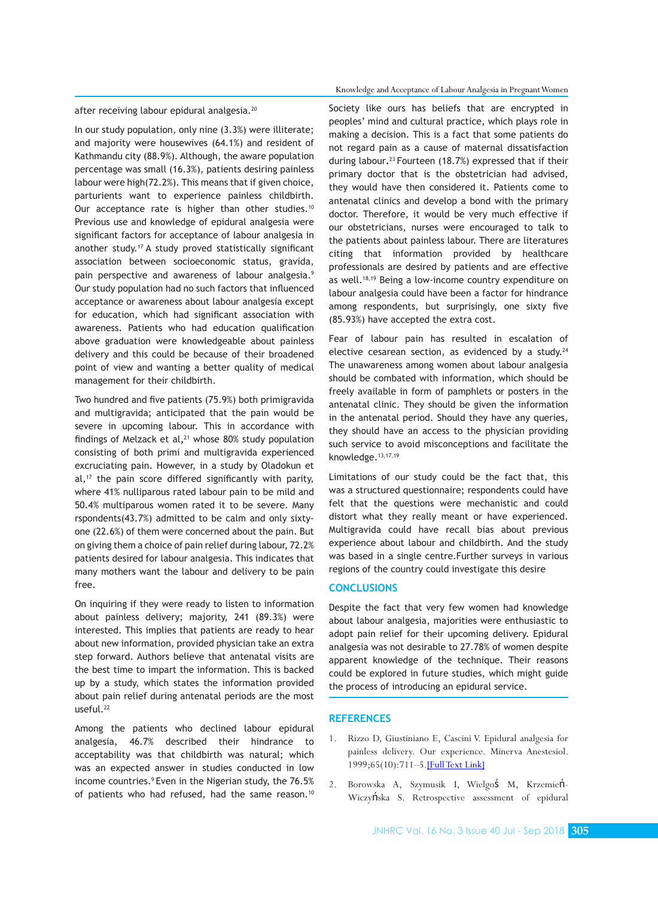# after receiving labour epidural analgesia.<sup>20</sup>

In our study population, only nine (3.3%) were illiterate; and majority were housewives (64.1%) and resident of Kathmandu city (88.9%). Although, the aware population percentage was small (16.3%), patients desiring painless labour were high(72.2%). This means that if given choice, parturients want to experience painless childbirth. Our acceptance rate is higher than other studies.<sup>10</sup> Previous use and knowledge of epidural analgesia were significant factors for acceptance of labour analgesia in another study.<sup>17</sup>A study proved statistically significant association between socioeconomic status, gravida, pain perspective and awareness of labour analgesia.<sup>9</sup> Our study population had no such factors that influenced acceptance or awareness about labour analgesia except for education, which had significant association with awareness. Patients who had education qualification above graduation were knowledgeable about painless delivery and this could be because of their broadened point of view and wanting a better quality of medical management for their childbirth.

Two hundred and five patients (75.9%) both primigravida and multigravida; anticipated that the pain would be severe in upcoming labour. This in accordance with findings of Melzack et al**,**<sup>21</sup> whose 80% study population consisting of both primi and multigravida experienced excruciating pain. However, in a study by Oladokun et  $al,$ <sup>17</sup> the pain score differed significantly with parity, where 41% nulliparous rated labour pain to be mild and 50.4% multiparous women rated it to be severe. Many rspondents(43.7%) admitted to be calm and only sixtyone (22.6%) of them were concerned about the pain. But on giving them a choice of pain relief during labour, 72.2% patients desired for labour analgesia. This indicates that many mothers want the labour and delivery to be pain free.

On inquiring if they were ready to listen to information about painless delivery; majority, 241 (89.3%) were interested. This implies that patients are ready to hear about new information, provided physician take an extra step forward. Authors believe that antenatal visits are the best time to impart the information. This is backed up by a study, which states the information provided about pain relief during antenatal periods are the most useful.<sup>22</sup>

Among the patients who declined labour epidural analgesia, 46.7% described their hindrance to acceptability was that childbirth was natural; which was an expected answer in studies conducted in low income countries.<sup>9</sup> Even in the Nigerian study, the 76.5% of patients who had refused, had the same reason.<sup>10</sup>

#### Knowledge and Acceptance of Labour Analgesia in Pregnant Women

Society like ours has beliefs that are encrypted in peoples' mind and cultural practice, which plays role in making a decision. This is a fact that some patients do not regard pain as a cause of maternal dissatisfaction during labour**.**23 Fourteen (18.7%) expressed that if their primary doctor that is the obstetrician had advised, they would have then considered it. Patients come to antenatal clinics and develop a bond with the primary doctor. Therefore, it would be very much effective if our obstetricians, nurses were encouraged to talk to the patients about painless labour. There are literatures citing that information provided by healthcare professionals are desired by patients and are effective as well.<sup>18,19</sup> Being a low-income country expenditure on labour analgesia could have been a factor for hindrance among respondents, but surprisingly, one sixty five (85.93%) have accepted the extra cost.

Fear of labour pain has resulted in escalation of elective cesarean section, as evidenced by a study.<sup>24</sup> The unawareness among women about labour analgesia should be combated with information, which should be freely available in form of pamphlets or posters in the antenatal clinic. They should be given the information in the antenatal period. Should they have any queries, they should have an access to the physician providing such service to avoid misconceptions and facilitate the knowledge.13,17,19

Limitations of our study could be the fact that, this was a structured questionnaire; respondents could have felt that the questions were mechanistic and could distort what they really meant or have experienced. Multigravida could have recall bias about previous experience about labour and childbirth. And the study was based in a single centre.Further surveys in various regions of the country could investigate this desire

### **CONCLUSIONS**

Despite the fact that very few women had knowledge about labour analgesia, majorities were enthusiastic to adopt pain relief for their upcoming delivery. Epidural analgesia was not desirable to 27.78% of women despite apparent knowledge of the technique. Their reasons could be explored in future studies, which might guide the process of introducing an epidural service.

#### **REFERENCES**

- 1. Rizzo D, Giustiniano E, Cascini V. Epidural analgesia for painless delivery. Our experience. Minerva Anestesiol. 1999;65(10):711–5.[\[Full Text Link\]](https://europepmc.org/abstract/med/10598428)
- 2. Borowska A, Szymusik I, Wielgoś M, Krzemień-Wiczyńska S. Retrospective assessment of epidural